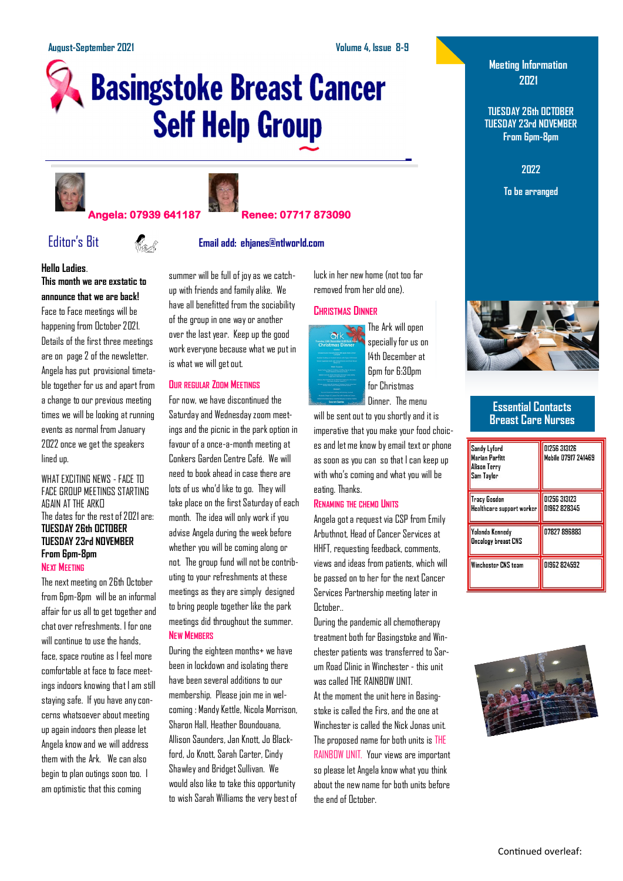# **Basingstoke Breast Cancer Self Help Group**





### **Angela: 07939 641187 Renee: 07717 873090**

# Editor's Bit **Email add: ehjanes@ntlworld.com**

#### **Hello Ladies**. **This month we are exstatic to announce that we are back!**

Face to Face meetings will be happening from October 2021. Details of the first three meetings are on page 2 of the newsletter. Angela has put provisional timetable together for us and apart from a change to our previous meeting times we will be looking at running events as normal from January 2022 once we get the speakers lined up.

#### WHAT EXCITING NEWS - FACE TO FACE GROUP MEETINGS STARTING AGAIN AT THE ARKE The dates for the rest of 2021 are: **TUESDAY 26th OCTOBER TUESDAY 23rd NOVEMBER From 6pm-8pm NEXT MEETING**

The next meeting on 26th October from 6pm-8pm will be an informal affair for us all to get together and chat over refreshments. I for one will continue to use the hands. face, space routine as I feel more comfortable at face to face meetings indoors knowing that I am still staying safe. If you have any concerns whatsoever about meeting up again indoors then please let Angela know and we will address them with the Ark. We can also begin to plan outings soon too. I am optimistic that this coming

summer will be full of joy as we catchup with friends and family alike. We have all benefitted from the sociability of the group in one way or another over the last year. Keep up the good work everyone because what we put in is what we will get out.

#### **OUR REGULAR ZOOM MEETINGS**

For now, we have discontinued the Saturday and Wednesday zoom meetings and the picnic in the park option in favour of a once-a-month meeting at Conkers Garden Centre Café. We will need to book ahead in case there are lots of us who'd like to go. They will take place on the first Saturday of each month. The idea will only work if you advise Angela during the week before whether you will be coming along or not. The group fund will not be contributing to your refreshments at these meetings as they are simply designed to bring people together like the park meetings did throughout the summer. **NEW MEMBERS**

During the eighteen months+ we have been in lockdown and isolating there have been several additions to our membership. Please join me in welcoming : Mandy Kettle, Nicola Morrison, Sharon Hall, Heather Boundouana, Allison Saunders, Jan Knott, Jo Blackford, Jo Knott, Sarah Carter, Cindy Shawley and Bridget Sullivan. We would also like to take this opportunity to wish Sarah Williams the very best of luck in her new home (not too far removed from her old one).

#### **CHRISTMAS DINNER**



The Ark will open specially for us on 14th December at 6pm for 6:30pm for Christmas Dinner. The menu

will be sent out to you shortly and it is imperative that you make your food choices and let me know by email text or phone as soon as you can so that I can keep up with who's coming and what you will be eating. Thanks.

#### **RENAMING THE CHEMO UNITS**

Angela got a request via CSP from Emily Arbuthnot, Head of Cancer Services at HHFT, requesting feedback, comments, views and ideas from patients, which will be passed on to her for the next Cancer Services Partnership meeting later in October..

During the pandemic all chemotherapy treatment both for Basingstoke and Winchester patients was transferred to Sarum Road Clinic in Winchester - this unit was called THE RAINBOW UNIT. At the moment the unit here in Basingstoke is called the Firs, and the one at Winchester is called the Nick Jonas unit. The proposed name for both units is THE RAINBOW UNIT. Your views are important so please let Angela know what you think about the new name for both units before the end of October.

## **Meeting Information 2021**

**TUESDAY 26th OCTOBER TUESDAY 23rd NOVEMBER From 6pm-8pm**

**2022**

**To be arranged**



#### **Essential Contacts Breast Care Nurses**

| Sandy Lyford<br><b>Marian Parfitt</b><br>Alison Terry<br>Sam Taylor | 01256 313126<br>Mobile 07917 241469 |  |
|---------------------------------------------------------------------|-------------------------------------|--|
| Tracy Gosden<br>Healthcare support worker <mark>i</mark>            | 01256 313123<br>01962 828345        |  |
| Yolanda Kennedy<br>Oncology breast CNS                              | 07827 896883                        |  |
| Winchester CNS team                                                 | 01962 824592                        |  |